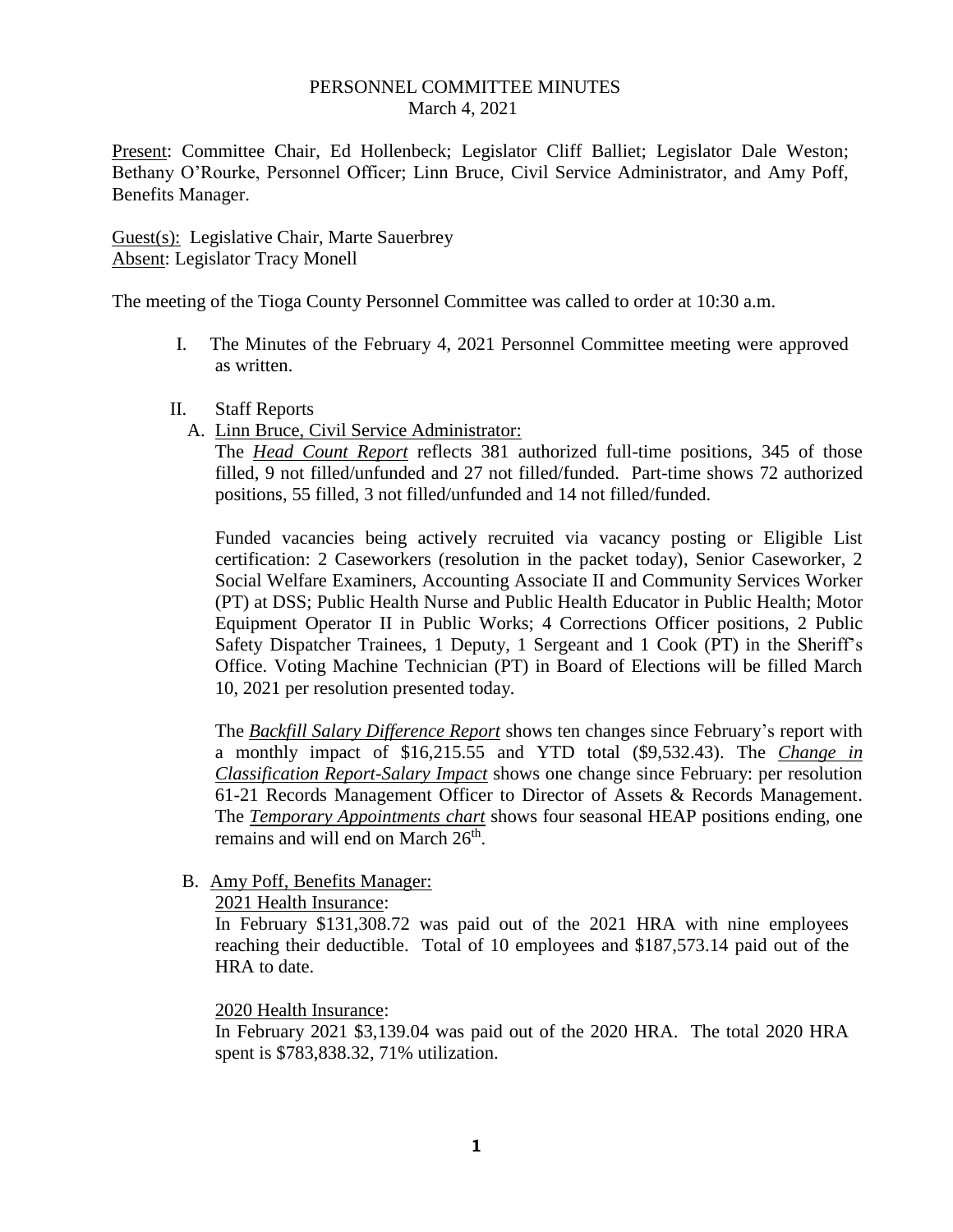## PERSONNEL COMMITTEE MINUTES March 4, 2021

Present: Committee Chair, Ed Hollenbeck; Legislator Cliff Balliet; Legislator Dale Weston; Bethany O'Rourke, Personnel Officer; Linn Bruce, Civil Service Administrator, and Amy Poff, Benefits Manager.

Guest(s): Legislative Chair, Marte Sauerbrey Absent: Legislator Tracy Monell

The meeting of the Tioga County Personnel Committee was called to order at 10:30 a.m.

- I. The Minutes of the February 4, 2021 Personnel Committee meeting were approved as written.
- II. Staff Reports
	- A. Linn Bruce, Civil Service Administrator:

The *Head Count Report* reflects 381 authorized full-time positions, 345 of those filled, 9 not filled/unfunded and 27 not filled/funded. Part-time shows 72 authorized positions, 55 filled, 3 not filled/unfunded and 14 not filled/funded.

Funded vacancies being actively recruited via vacancy posting or Eligible List certification: 2 Caseworkers (resolution in the packet today), Senior Caseworker, 2 Social Welfare Examiners, Accounting Associate II and Community Services Worker (PT) at DSS; Public Health Nurse and Public Health Educator in Public Health; Motor Equipment Operator II in Public Works; 4 Corrections Officer positions, 2 Public Safety Dispatcher Trainees, 1 Deputy, 1 Sergeant and 1 Cook (PT) in the Sheriff's Office. Voting Machine Technician (PT) in Board of Elections will be filled March 10, 2021 per resolution presented today*.* 

The *Backfill Salary Difference Report* shows ten changes since February's report with a monthly impact of \$16,215.55 and YTD total (\$9,532.43). The *Change in Classification Report-Salary Impact* shows one change since February: per resolution 61-21 Records Management Officer to Director of Assets & Records Management. The *Temporary Appointments chart* shows four seasonal HEAP positions ending, one remains and will end on March 26<sup>th</sup>.

B. Amy Poff, Benefits Manager:

2021 Health Insurance:

In February \$131,308.72 was paid out of the 2021 HRA with nine employees reaching their deductible. Total of 10 employees and \$187,573.14 paid out of the HRA to date.

## 2020 Health Insurance:

In February 2021 \$3,139.04 was paid out of the 2020 HRA. The total 2020 HRA spent is \$783,838.32, 71% utilization.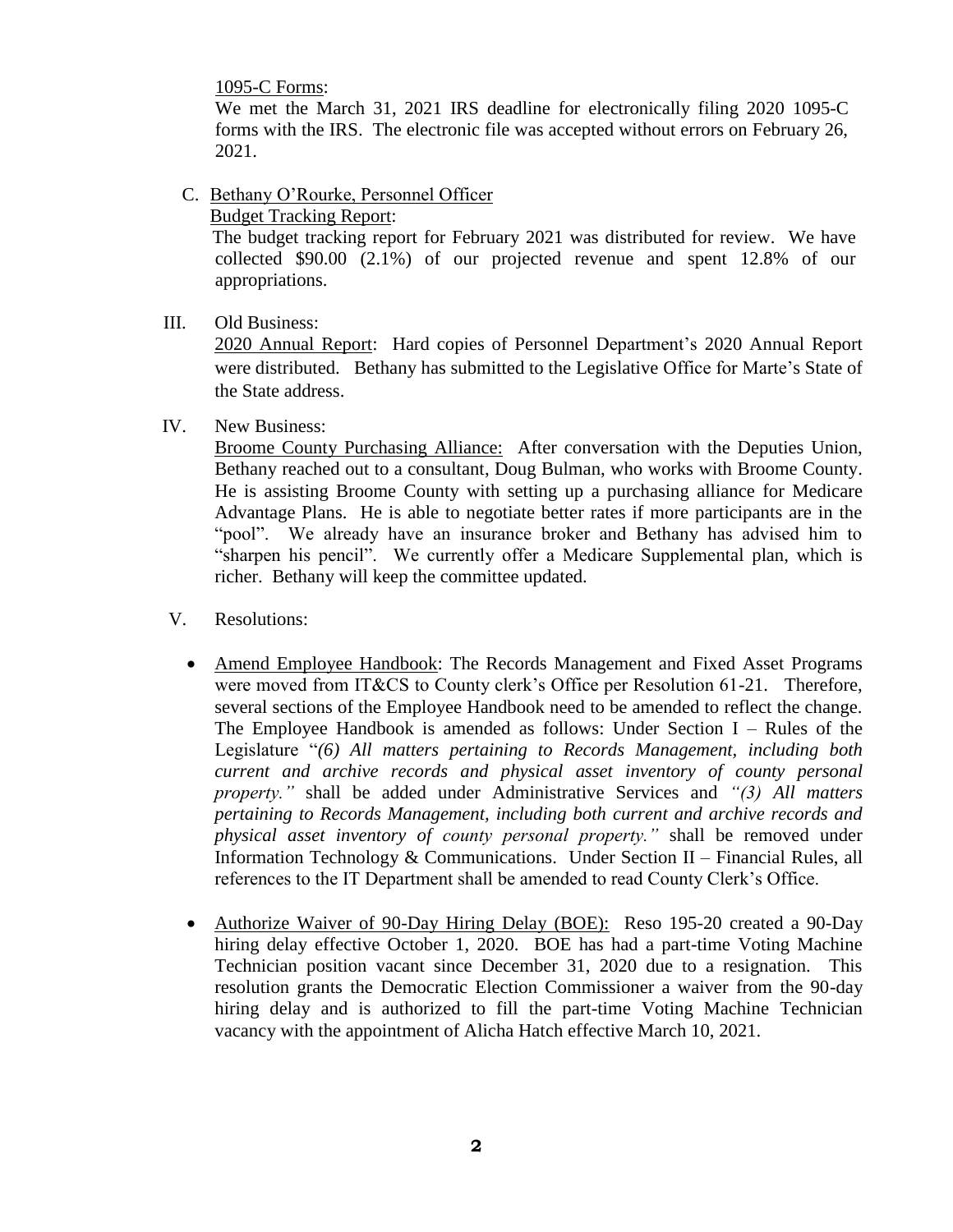1095-C Forms:

We met the March 31, 2021 IRS deadline for electronically filing 2020 1095-C forms with the IRS. The electronic file was accepted without errors on February 26, 2021.

C. Bethany O'Rourke, Personnel Officer

Budget Tracking Report:

 The budget tracking report for February 2021 was distributed for review. We have collected \$90.00 (2.1%) of our projected revenue and spent 12.8% of our appropriations.

III. Old Business:

2020 Annual Report: Hard copies of Personnel Department's 2020 Annual Report were distributed. Bethany has submitted to the Legislative Office for Marte's State of the State address.

## IV. New Business:

Broome County Purchasing Alliance: After conversation with the Deputies Union, Bethany reached out to a consultant, Doug Bulman, who works with Broome County. He is assisting Broome County with setting up a purchasing alliance for Medicare Advantage Plans. He is able to negotiate better rates if more participants are in the "pool". We already have an insurance broker and Bethany has advised him to "sharpen his pencil". We currently offer a Medicare Supplemental plan, which is richer. Bethany will keep the committee updated.

- V. Resolutions:
	- Amend Employee Handbook: The Records Management and Fixed Asset Programs were moved from IT&CS to County clerk's Office per Resolution 61-21. Therefore, several sections of the Employee Handbook need to be amended to reflect the change. The Employee Handbook is amended as follows: Under Section  $I - Rules$  of the Legislature "*(6) All matters pertaining to Records Management, including both current and archive records and physical asset inventory of county personal property."* shall be added under Administrative Services and *"(3) All matters pertaining to Records Management, including both current and archive records and physical asset inventory of county personal property."* shall be removed under Information Technology & Communications. Under Section II – Financial Rules, all references to the IT Department shall be amended to read County Clerk's Office.
	- Authorize Waiver of 90-Day Hiring Delay (BOE): Reso 195-20 created a 90-Day hiring delay effective October 1, 2020. BOE has had a part-time Voting Machine Technician position vacant since December 31, 2020 due to a resignation. This resolution grants the Democratic Election Commissioner a waiver from the 90-day hiring delay and is authorized to fill the part-time Voting Machine Technician vacancy with the appointment of Alicha Hatch effective March 10, 2021.